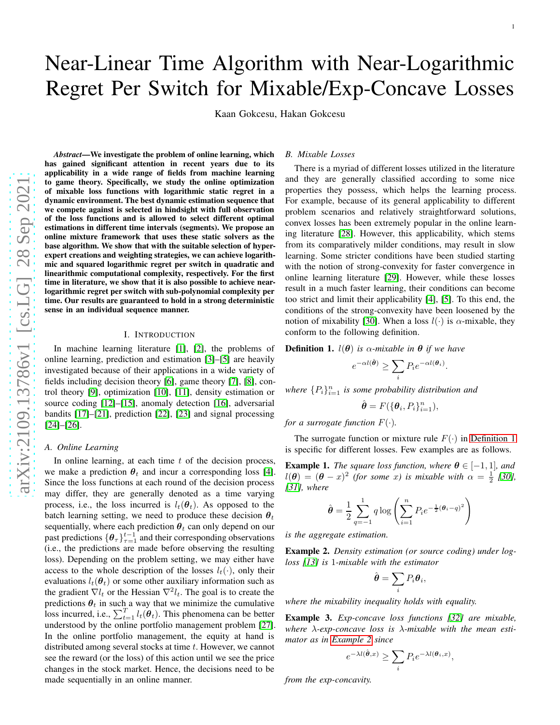# Near-Linear Time Algorithm with Near-Logarithmic Regret Per Switch for Mixable/Exp-Concave Losses

Kaan Gokcesu, Hakan Gokcesu

*Abstract*—We investigate the problem of online learning, which has gained significant attention in recent years due to its applicability in a wide range of fields from machine learning to game theory. Specifically, we study the online optimization of mixable loss functions with logarithmic static regret in a dynamic environment. The best dynamic estimation sequence that we compete against is selected in hindsight with full observation of the loss functions and is allowed to select different optimal estimations in different time intervals (segments). We propose an online mixture framework that uses these static solvers as the base algorithm. We show that with the suitable selection of hyperexpert creations and weighting strategies, we can achieve logarithmic and squared logarithmic regret per switch in quadratic and linearithmic computational complexity, respectively. For the first time in literature, we show that it is also possible to achieve nearlogarithmic regret per switch with sub-polynomial complexity per time. Our results are guaranteed to hold in a strong deterministic sense in an individual sequence manner.

## I. INTRODUCTION

In machine learning literature [\[1\]](#page-7-0), [\[2\]](#page-7-1), the problems of online learning, prediction and estimation [\[3\]](#page-7-2)–[\[5\]](#page-7-3) are heavily investigated because of their applications in a wide variety of fields including decision theory [\[6\]](#page-7-4), game theory [\[7\]](#page-7-5), [\[8\]](#page-7-6), control theory [\[9\]](#page-7-7), optimization [\[10\]](#page-7-8), [\[11\]](#page-7-9), density estimation or source coding [\[12\]](#page-7-10)–[\[15\]](#page-7-11), anomaly detection [\[16\]](#page-7-12), adversarial bandits [\[17\]](#page-7-13)–[\[21\]](#page-7-14), prediction [\[22\]](#page-7-15), [\[23\]](#page-7-16) and signal processing [\[24\]](#page-7-17)–[\[26\]](#page-7-18).

## *A. Online Learning*

In online learning, at each time  $t$  of the decision process, we make a prediction  $\theta_t$  and incur a corresponding loss [\[4\]](#page-7-19). Since the loss functions at each round of the decision proces s may differ, they are generally denoted as a time varying process, i.e., the loss incurred is  $l_t(\theta_t)$ . As opposed to the batch learning setting, we need to produce these decision  $\theta_t$ sequentially, where each prediction  $\hat{\theta}_t$  can only depend on our past predictions  $\{\theta_\tau\}_{\tau=1}^{t-1}$  and their corresponding observations (i.e., the predictions are made before observing the resulting loss). Depending on the problem setting, we may either have access to the whole description of the losses  $l_t(\cdot)$ , only their evaluations  $l_t(\theta_t)$  or some other auxiliary information such as the gradient  $\nabla l_t$  or the Hessian  $\nabla^2 l_t$ . The goal is to create the predictions  $\theta_t$  in such a way that we minimize the cumulative loss incurred, i.e.,  $\sum_{t=1}^{T} l_t(\theta_t)$ . This phenomena can be better understood by the online portfolio management problem [\[27\]](#page-7-20) . In the online portfolio management, the equity at hand is distributed among several stocks at time t. However, we cannot see the reward (or the loss) of this action until we see the price changes in the stock market. Hence, the decisions need to be made sequentially in an online manner.

## *B. Mixable Losses*

There is a myriad of different losses utilized in the literature and they are generally classified according to some nice properties they possess, which helps the learning process. For example, because of its general applicability to different problem scenarios and relatively straightforward solutions, convex losses has been extremely popular in the online learn ing literature [\[28\]](#page-7-21). However, this applicability, which stems from its comparatively milder conditions, may result in slo w learning. Some stricter conditions have been studied starting with the notion of strong-convexity for faster convergence in online learning literature [\[29\]](#page-7-22). However, while these losses result in a much faster learning, their conditions can becom e too strict and limit their applicability [\[4\]](#page-7-19), [\[5\]](#page-7-3). To this end, the conditions of the strong-convexity have been loosened by th e notion of mixability [\[30\]](#page-7-23). When a loss  $l(\cdot)$  is  $\alpha$ -mixable, they conform to the following definition.

<span id="page-0-0"></span>**Definition 1.**  $l(\theta)$  is  $\alpha$ -mixable in  $\theta$  if we have

$$
e^{-\alpha l(\hat{\boldsymbol{\theta}})} \geq \sum_{i} P_i e^{-\alpha l(\boldsymbol{\theta}_i)}.
$$

where  $\{P_i\}_{i=1}^n$  is some probability distribution and

$$
\hat{\boldsymbol{\theta}} = F(\{\boldsymbol{\theta}_i, P_i\}_{i=1}^n),
$$

*for a surrogate function*  $F(\cdot)$ .

The surrogate function or mixture rule  $F(\cdot)$  in [Definition 1](#page-0-0) is specific for different losses. Few examples are as follows .

**Example 1.** The square loss function, where  $\theta \in [-1, 1]$ , and  $l(\theta) = (\theta - x)^2$  (for some x) is mixable with  $\alpha = \frac{1}{2}$  [\[30\]](#page-7-23), *[\[31\]](#page-7-24), where*

$$
\hat{\theta} = \frac{1}{2} \sum_{q=-1}^{1} q \log \left( \sum_{i=1}^{n} P_i e^{-\frac{1}{2} (\theta_i - q)^2} \right)
$$

*is the aggregate estimation.*

<span id="page-0-1"></span>Example 2. *Density estimation (or source coding) under logloss [\[13\]](#page-7-25) is* 1*-mixable with the estimator*

$$
\hat{\boldsymbol{\theta}} = \sum_i P_i \boldsymbol{\theta}_i,
$$

*where the mixability inequality holds with equality.*

Example 3. *Exp-concave loss functions [\[32\]](#page-7-26) are mixable, where* λ*-exp-concave loss is* λ*-mixable with the mean estimator as in [Example 2](#page-0-1) since*

$$
e^{-\lambda l(\hat{\boldsymbol{\theta}},x)} \ge \sum_i P_i e^{-\lambda l(\boldsymbol{\theta}_i,x)},
$$

*from the exp-concavity.*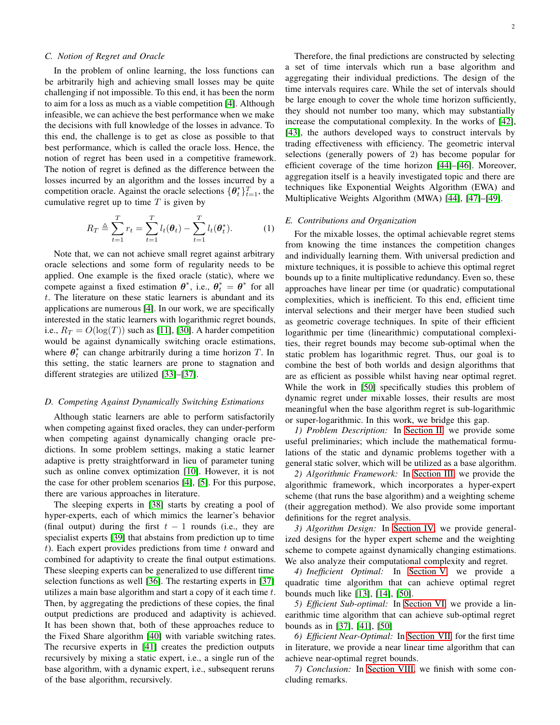# *C. Notion of Regret and Oracle*

In the problem of online learning, the loss functions can be arbitrarily high and achieving small losses may be quite challenging if not impossible. To this end, it has been the norm to aim for a loss as much as a viable competition [\[4\]](#page-7-19). Although infeasible, we can achieve the best performance when we make the decisions with full knowledge of the losses in advance. To this end, the challenge is to get as close as possible to that best performance, which is called the oracle loss. Hence, the notion of regret has been used in a competitive framework. The notion of regret is defined as the difference between the losses incurred by an algorithm and the losses incurred by a competition oracle. Against the oracle selections  $\{\theta_t^*\}_{t=1}^T$ , the cumulative regret up to time  $T$  is given by

$$
R_T \triangleq \sum_{t=1}^T r_t = \sum_{t=1}^T l_t(\theta_t) - \sum_{t=1}^T l_t(\theta_t^*).
$$
 (1)

Note that, we can not achieve small regret against arbitrary oracle selections and some form of regularity needs to be applied. One example is the fixed oracle (static), where we compete against a fixed estimation  $\theta^*$ , i.e.,  $\theta_t^* = \theta^*$  for all t. The literature on these static learners is abundant and its applications are numerous [\[4\]](#page-7-19). In our work, we are specifically interested in the static learners with logarithmic regret bounds, i.e.,  $R_T = O(\log(T))$  such as [\[11\]](#page-7-9), [\[30\]](#page-7-23). A harder competition would be against dynamically switching oracle estimations, where  $\theta_t^*$  can change arbitrarily during a time horizon T. In this setting, the static learners are prone to stagnation and different strategies are utilized [\[33\]](#page-7-27)–[\[37\]](#page-7-28).

## *D. Competing Against Dynamically Switching Estimations*

Although static learners are able to perform satisfactorily when competing against fixed oracles, they can under-perform when competing against dynamically changing oracle predictions. In some problem settings, making a static learner adaptive is pretty straightforward in lieu of parameter tuning such as online convex optimization [\[10\]](#page-7-8). However, it is not the case for other problem scenarios [\[4\]](#page-7-19), [\[5\]](#page-7-3). For this purpose, there are various approaches in literature.

The sleeping experts in [\[38\]](#page-7-29) starts by creating a pool of hyper-experts, each of which mimics the learner's behavior (final output) during the first  $t - 1$  rounds (i.e., they are specialist experts [\[39\]](#page-7-30) that abstains from prediction up to time t). Each expert provides predictions from time  $t$  onward and combined for adaptivity to create the final output estimations. These sleeping experts can be generalized to use different time selection functions as well [\[36\]](#page-7-31). The restarting experts in [\[37\]](#page-7-28) utilizes a main base algorithm and start a copy of it each time  $t$ . Then, by aggregating the predictions of these copies, the final output predictions are produced and adaptivity is achieved. It has been shown that, both of these approaches reduce to the Fixed Share algorithm [\[40\]](#page-7-32) with variable switching rates. The recursive experts in [\[41\]](#page-7-33) creates the prediction outputs recursively by mixing a static expert, i.e., a single run of the base algorithm, with a dynamic expert, i.e., subsequent reruns of the base algorithm, recursively.

2

Therefore, the final predictions are constructed by selecting a set of time intervals which run a base algorithm and aggregating their individual predictions. The design of the time intervals requires care. While the set of intervals should be large enough to cover the whole time horizon sufficiently, they should not number too many, which may substantially increase the computational complexity. In the works of [\[42\]](#page-7-34), [\[43\]](#page-7-35), the authors developed ways to construct intervals by trading effectiveness with efficiency. The geometric interval selections (generally powers of 2) has become popular for efficient coverage of the time horizon [\[44\]](#page-7-36)–[\[46\]](#page-7-37). Moreover, aggregation itself is a heavily investigated topic and there are techniques like Exponential Weights Algorithm (EWA) and Multiplicative Weights Algorithm (MWA) [\[44\]](#page-7-36), [\[47\]](#page-7-38)–[\[49\]](#page-7-39).

## *E. Contributions and Organization*

For the mixable losses, the optimal achievable regret stems from knowing the time instances the competition changes and individually learning them. With universal prediction and mixture techniques, it is possible to achieve this optimal regret bounds up to a finite multiplicative redundancy. Even so, these approaches have linear per time (or quadratic) computational complexities, which is inefficient. To this end, efficient time interval selections and their merger have been studied such as geometric coverage techniques. In spite of their efficient logarithmic per time (linearithmic) computational complexities, their regret bounds may become sub-optimal when the static problem has logarithmic regret. Thus, our goal is to combine the best of both worlds and design algorithms that are as efficient as possible whilst having near optimal regret. While the work in [\[50\]](#page-7-40) specifically studies this problem of dynamic regret under mixable losses, their results are most meaningful when the base algorithm regret is sub-logarithmic or super-logarithmic. In this work, we bridge this gap.

*1) Problem Description:* In [Section II,](#page-2-0) we provide some useful preliminaries; which include the mathematical formulations of the static and dynamic problems together with a general static solver, which will be utilized as a base algorithm.

*2) Algorithmic Framework:* In [Section III,](#page-3-0) we provide the algorithmic framework, which incorporates a hyper-expert scheme (that runs the base algorithm) and a weighting scheme (their aggregation method). We also provide some important definitions for the regret analysis.

*3) Algorithm Design:* In [Section IV,](#page-4-0) we provide generalized designs for the hyper expert scheme and the weighting scheme to compete against dynamically changing estimations. We also analyze their computational complexity and regret.

*4) Inefficient Optimal:* In [Section V,](#page-5-0) we provide a quadratic time algorithm that can achieve optimal regret bounds much like [\[13\]](#page-7-25), [\[14\]](#page-7-41), [\[50\]](#page-7-40).

*5) Efficient Sub-optimal:* In [Section VI,](#page-5-1) we provide a linearithmic time algorithm that can achieve sub-optimal regret bounds as in [\[37\]](#page-7-28), [\[41\]](#page-7-33), [\[50\]](#page-7-40)

*6) Efficient Near-Optimal:* In [Section VII,](#page-6-0) for the first time in literature, we provide a near linear time algorithm that can achieve near-optimal regret bounds.

*7) Conclusion:* In [Section VIII,](#page-6-1) we finish with some concluding remarks.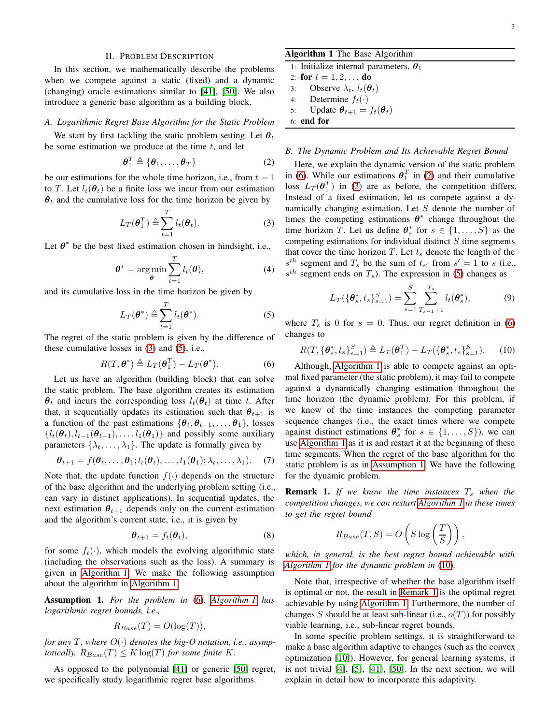## II. PROBLEM DESCRIPTION

<span id="page-2-0"></span>In this section, we mathematically describe the problems when we compete against a static (fixed) and a dynamic (changing) oracle estimations similar to [\[41\]](#page-7-33), [\[50\]](#page-7-40). We also introduce a generic base algorithm as a building block.

#### *A. Logarithmic Regret Base Algorithm for the Static Problem*

We start by first tackling the static problem setting. Let  $\theta_t$ be some estimation we produce at the time  $t$ , and let

$$
\boldsymbol{\theta}_1^T \triangleq \{\boldsymbol{\theta}_1, \dots, \boldsymbol{\theta}_T\} \tag{2}
$$

be our estimations for the whole time horizon, i.e., from  $t = 1$ to T. Let  $l_t(\theta_t)$  be a finite loss we incur from our estimation  $\theta_t$  and the cumulative loss for the time horizon be given by

$$
L_T(\boldsymbol{\theta}_1^T) \triangleq \sum_{t=1}^T l_t(\boldsymbol{\theta}_t). \tag{3}
$$

Let  $\theta^*$  be the best fixed estimation chosen in hindsight, i.e.,

$$
\boldsymbol{\theta}^* = \underset{\boldsymbol{\theta}}{\arg\min} \sum_{t=1}^T l_t(\boldsymbol{\theta}), \tag{4}
$$

and its cumulative loss in the time horizon be given by

$$
L_T(\boldsymbol{\theta}^*) \triangleq \sum_{t=1}^T l_t(\boldsymbol{\theta}^*).
$$
 (5)

The regret of the static problem is given by the difference of these cumulative losses in [\(3\)](#page-2-1) and [\(5\)](#page-2-2), i.e.,

$$
R(T, \boldsymbol{\theta}^*) \triangleq L_T(\boldsymbol{\theta}_1^T) - L_T(\boldsymbol{\theta}^*).
$$
 (6)

Let us have an algorithm (building block) that can solve the static problem. The base algorithm creates its estimation  $\theta_t$  and incurs the corresponding loss  $l_t(\theta_t)$  at time t. After that, it sequentially updates its estimation such that  $\theta_{t+1}$  is a function of the past estimations  $\{\theta_t, \theta_{t-1}, \dots, \theta_1\}$ , losses  ${l_t(\theta_t), l_{t-1}(\theta_{t-1}), \ldots, l_1(\theta_1)}$  and possibly some auxiliary parameters  $\{\lambda_t, \dots, \lambda_1\}$ . The update is formally given by

$$
\boldsymbol{\theta}_{t+1} = f(\boldsymbol{\theta}_t, \dots, \boldsymbol{\theta}_1; l_t(\boldsymbol{\theta}_t), \dots, l_1(\boldsymbol{\theta}_1); \lambda_t, \dots, \lambda_1). \tag{7}
$$

Note that, the update function  $f(\cdot)$  depends on the structure of the base algorithm and the underlying problem setting (i.e., can vary in distinct applications). In sequential updates, the next estimation  $\theta_{t+1}$  depends only on the current estimation and the algorithm's current state, i.e., it is given by

$$
\boldsymbol{\theta}_{t+1} = f_t(\boldsymbol{\theta}_t), \tag{8}
$$

for some  $f_t(\cdot)$ , which models the evolving algorithmic state (including the observations such as the loss). A summary is given in [Algorithm 1.](#page-2-3) We make the following assumption about the algorithm in [Algorithm 1.](#page-2-3)

<span id="page-2-6"></span>Assumption 1. *For the problem in* [\(6\)](#page-2-4)*, [Algorithm 1](#page-2-3) has logarithmic regret bounds, i.e.,*

$$
R_{Base}(T) = O(\log(T)),
$$

*for any* T, where  $O(\cdot)$  denotes the big-O notation, i.e., asymp*totically,*  $R_{Base}(T) \leq K \log(T)$  *for some finite K.* 

As opposed to the polynomial [\[41\]](#page-7-33) or generic [\[50\]](#page-7-40) regret, we specifically study logarithmic regret base algorithms.

# <span id="page-2-3"></span>Algorithm 1 The Base Algorithm

| 1: Initialize internal parameters, $\theta_1$ |
|-----------------------------------------------|
| 2: for $t = 1, 2, $ do                        |
| 3: Observe $\lambda_t$ , $l_t(\theta_t)$      |
| 4: Determine $f_t(\cdot)$                     |
| 5: Update $\theta_{t+1} = f_t(\theta_t)$      |
| $6:$ end for                                  |

## <span id="page-2-5"></span>*B. The Dynamic Problem and Its Achievable Regret Bound*

<span id="page-2-1"></span>Here, we explain the dynamic version of the static problem in [\(6\)](#page-2-4). While our estimations  $\theta_1^T$  in [\(2\)](#page-2-5) and their cumulative loss  $L_T(\theta_1^T)$  in [\(3\)](#page-2-1) are as before, the competition differs. Instead of a fixed estimation, let us compete against a dynamically changing estimation. Let S denote the number of times the competing estimations  $\theta^*$  change throughout the time horizon T. Let us define  $\theta_s^*$  for  $s \in \{1, \ldots, S\}$  as the competing estimations for individual distinct  $S$  time segments that cover the time horizon  $T$ . Let  $t_s$  denote the length of the  $s^{th}$  segment and  $T_s$  be the sum of  $t_{s'}$  from  $s' = 1$  to s (i.e.,  $s^{th}$  segment ends on  $T_s$ ). The expression in [\(5\)](#page-2-2) changes as

<span id="page-2-7"></span>
$$
L_T(\{\theta_s^*, t_s\}_{s=1}^S) = \sum_{s=1}^S \sum_{T_{s-1}+1}^{T_s} l_t(\theta_s^*),
$$
 (9)

<span id="page-2-2"></span>where  $T<sub>s</sub>$  is 0 for  $s = 0$ . Thus, our regret definition in [\(6\)](#page-2-4) changes to

$$
R(T, {\theta_s^*}, t_s\}_{s=1}^S) \triangleq L_T({\theta_1^T}) - L_T({\{\theta_s^*}, t_s\}_{s=1}^S). \tag{10}
$$

<span id="page-2-4"></span>Although, [Algorithm 1](#page-2-3) is able to compete against an optimal fixed parameter (the static problem), it may fail to compete against a dynamically changing estimation throughout the time horizon (the dynamic problem). For this problem, if we know of the time instances the competing parameter sequence changes (i.e., the exact times where we compete against distinct estimations  $\theta_s^*$  for  $s \in \{1, ..., S\}$ , we can use [Algorithm 1](#page-2-3) as it is and restart it at the beginning of these time segments. When the regret of the base algorithm for the static problem is as in [Assumption 1.](#page-2-6) We have the following for the dynamic problem.

<span id="page-2-8"></span>**Remark 1.** If we know the time instances  $T_s$  when the *competition changes, we can restart [Algorithm 1](#page-2-3) in these times to get the regret bound*

$$
R_{Base}(T, S) = O\left(S \log\left(\frac{T}{S}\right)\right),\,
$$

*which, in general, is the best regret bound achievable with [Algorithm 1](#page-2-3) for the dynamic problem in* [\(10\)](#page-2-7)*.*

Note that, irrespective of whether the base algorithm itself is optimal or not, the result in [Remark 1](#page-2-8) is the optimal regret achievable by using [Algorithm 1.](#page-2-3) Furthermore, the number of changes S should be at least sub-linear (i.e.,  $o(T)$ ) for possibly viable learning, i.e., sub-linear regret bounds.

In some specific problem settings, it is straightforward to make a base algorithm adaptive to changes (such as the convex optimization [\[10\]](#page-7-8)). However, for general learning systems, it is not trivial [\[4\]](#page-7-19), [\[5\]](#page-7-3), [\[41\]](#page-7-33), [\[50\]](#page-7-40). In the next section, we will explain in detail how to incorporate this adaptivity.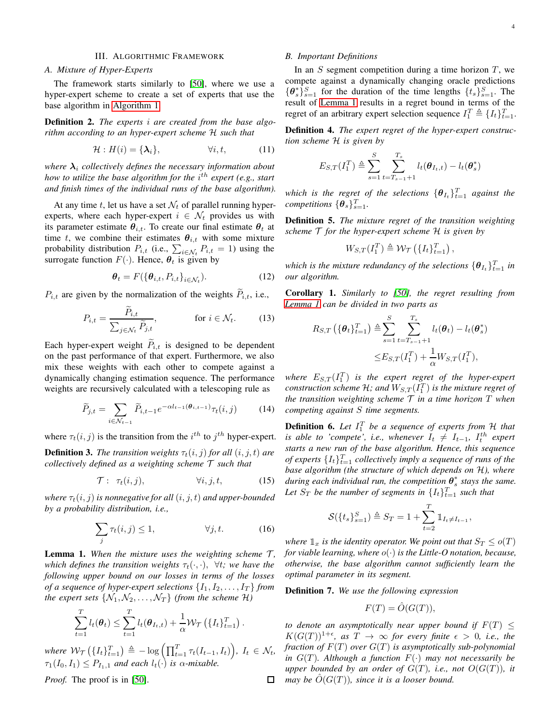# III. ALGORITHMIC FRAMEWORK

## <span id="page-3-0"></span>*A. Mixture of Hyper-Experts*

The framework starts similarly to [\[50\]](#page-7-40), where we use a hyper-expert scheme to create a set of experts that use the base algorithm in [Algorithm 1.](#page-2-3)

Definition 2. *The experts* i *are created from the base algorithm according to an hyper-expert scheme* H *such that*

$$
\mathcal{H}: H(i) = {\lambda_i}, \qquad \forall i, t, \qquad (11)
$$

*where*  $\lambda_i$  *collectively defines the necessary information about* how to utilize the base algorithm for the i<sup>th</sup> expert (e.g., start *and finish times of the individual runs of the base algorithm).*

At any time t, let us have a set  $\mathcal{N}_t$  of parallel running hyperexperts, where each hyper-expert  $i \in \mathcal{N}_t$  provides us with its parameter estimate  $\theta_{i,t}$ . To create our final estimate  $\theta_t$  at time t, we combine their estimates  $\theta_{i,t}$  with some mixture probability distribution  $P_{i,t}$  (i.e.,  $\sum_{i \in \mathcal{N}_t} P_{i,t} = 1$ ) using the surrogate function  $F(\cdot)$ . Hence,  $\theta_t$  is given by

$$
\boldsymbol{\theta}_t = F(\{\boldsymbol{\theta}_{i,t}, P_{i,t}\}_{i \in \mathcal{N}_t}).
$$
\n(12)

 $P_{i,t}$  are given by the normalization of the weights  $P_{i,t}$ , i.e.,

$$
P_{i,t} = \frac{P_{i,t}}{\sum_{j \in \mathcal{N}_t} \widetilde{P}_{j,t}}, \quad \text{for } i \in \mathcal{N}_t.
$$
 (13)

Each hyper-expert weight  $P_{i,t}$  is designed to be dependent on the past performance of that expert. Furthermore, we also mix these weights with each other to compete against a dynamically changing estimation sequence. The performance weights are recursively calculated with a telescoping rule as

$$
\widetilde{P}_{j,t} = \sum_{i \in \mathcal{N}_{t-1}} \widetilde{P}_{i,t-1} e^{-\alpha l_{t-1}(\boldsymbol{\theta}_{i,t-1})} \tau_t(i,j) \tag{14}
$$

where  $\tau_t(i, j)$  is the transition from the  $i^{th}$  to  $j^{th}$  hyper-expert. **Definition 3.** *The transition weights*  $\tau_t(i, j)$  *for all*  $(i, j, t)$  *are* 

<span id="page-3-2"></span>*collectively defined as a weighting scheme* T *such that*

$$
\mathcal{T}: \tau_t(i,j), \qquad \forall i, j, t, \qquad (15)
$$

*where*  $\tau_t(i, j)$  *is nonnegative for all*  $(i, j, t)$  *and upper-bounded by a probability distribution, i.e.,*

$$
\sum_{j} \tau_t(i,j) \le 1, \qquad \forall j, t. \tag{16}
$$

<span id="page-3-1"></span>**Lemma 1.** When the mixture uses the weighting scheme  $T$ , *which defines the transition weights*  $\tau_t(\cdot, \cdot)$ ,  $\forall t$ *; we have the following upper bound on our losses in terms of the losses of a sequence of hyper-expert selections*  $\{I_1, I_2, \ldots, I_T\}$  *from the expert sets*  $\{N_1, N_2, \ldots, N_T\}$  *(from the scheme H)* 

$$
\sum_{t=1}^T l_t(\boldsymbol{\theta}_t) \leq \sum_{t=1}^T l_t(\boldsymbol{\theta}_{I_t,t}) + \frac{1}{\alpha} \mathcal{W}_{\mathcal{T}}\left(\{I_t\}_{t=1}^T\right).
$$

where  $\mathcal{W}_{\mathcal{T}}\left(\{I_t\}_{t=1}^T\right) \triangleq -\log\left(\prod_{t=1}^T \tau_t(I_{t-1}, I_t)\right), I_t \in \mathcal{N}_t$ ,  $\tau_1(I_0, I_1) \leq P_{I_1,1}$  *and each*  $l_t(\cdot)$  *is*  $\alpha$ *-mixable.* 

*Proof.* The proof is in [\[50\]](#page-7-40).

# *B. Important Definitions*

In an  $S$  segment competition during a time horizon  $T$ , we compete against a dynamically changing oracle predictions  ${\lbrace \theta_s^* \rbrace}_{s=1}^S$  for the duration of the time lengths  ${\lbrace t_s \rbrace}_{s=1}^S$ . The result of [Lemma 1](#page-3-1) results in a regret bound in terms of the regret of an arbitrary expert selection sequence  $I_1^T \triangleq \{I_t\}_{t=1}^T$ .

Definition 4. *The expert regret of the hyper-expert construction scheme* H *is given by*

$$
E_{S,T}(I_1^T) \triangleq \sum_{s=1}^{S} \sum_{t=T_{s-1}+1}^{T_s} l_t(\boldsymbol{\theta}_{I_t,t}) - l_t(\boldsymbol{\theta}_s^*)
$$

which is the regret of the selections  $\{\boldsymbol{\theta}_{I_t}\}_{t=1}^T$  against the  $\epsilon$ *competitions*  $\{\boldsymbol{\theta}_s\}_{s=1}^T$ .

Definition 5. *The mixture regret of the transition weighting scheme* T *for the hyper-expert scheme* H *is given by*

$$
W_{S,T}(I_1^T) \triangleq W_{\mathcal{T}}\left(\{I_t\}_{t=1}^T\right),\,
$$

which is the mixture redundancy of the selections  $\{\boldsymbol{\theta}_{I_t}\}_{t=1}^T$  in *our algorithm.*

<span id="page-3-3"></span>Corollary 1. *Similarly to [\[50\]](#page-7-40), the regret resulting from [Lemma 1](#page-3-1) can be divided in two parts as*

$$
R_{S,T}\left(\{\boldsymbol{\theta}_t\}_{t=1}^T\right) \triangleq \sum_{s=1}^S \sum_{t=T_{s-1}+1}^{T_s} l_t(\boldsymbol{\theta}_t) - l_t(\boldsymbol{\theta}_s^*)
$$
  

$$
\leq E_{S,T}(I_1^T) + \frac{1}{\alpha} W_{S,T}(I_1^T),
$$

where  $E_{S,T}(I_1^T)$  is the expert regret of the hyper-expert  $\emph{construction scheme}$   $\mathcal H$ *; and*  $W_{S,T}(I_1^T)$  *is the mixture regret of the transition weighting scheme*  $\mathcal T$  *in a time horizon*  $T$  *when competing against* S *time segments.*

**Definition 6.** Let  $I_1^T$  be a sequence of experts from H that *is able to 'compete', i.e., whenever*  $I_t \neq I_{t-1}$ ,  $I_t^{th}$  expert *starts a new run of the base algorithm. Hence, this sequence of experts*  $\{I_t\}_{t=1}^T$  *collectively imply a sequence of runs of the base algorithm (the structure of which depends on* H*), where* during each individual run, the competition  $\boldsymbol{\theta}_s^*$  stays the same. Let  $S_T$  be the number of segments in  $\{I_t\}_{t=1}^T$  such that

$$
\mathcal{S}(\{t_s\}_{s=1}^S) \triangleq S_T = 1 + \sum_{t=2}^T \mathbb{1}_{I_t \neq I_{t-1}},
$$

*where*  $\mathbb{1}_x$  *is the identity operator. We point out that*  $S_T \leq o(T)$ *for viable learning, where* o(·) *is the Little-O notation, because, otherwise, the base algorithm cannot sufficiently learn the optimal parameter in its segment.*

Definition 7. *We use the following expression*

$$
F(T) = \hat{O}(G(T)),
$$

*to denote an asymptotically near upper bound if*  $F(T)$   $\leq$  $K(G(T))^{1+\epsilon}$ , as  $T \to \infty$  for every finite  $\epsilon > 0$ , i.e., the *fraction of*  $F(T)$  *over*  $G(T)$  *is asymptotically sub-polynomial in*  $G(T)$ *. Although a function*  $F(\cdot)$  *may not necessarily be upper bounded by an order of*  $G(T)$ *, i.e., not*  $O(G(T))$ *, it*  $\Box$  *may be*  $\hat{O}(G(T))$ *, since it is a looser bound.*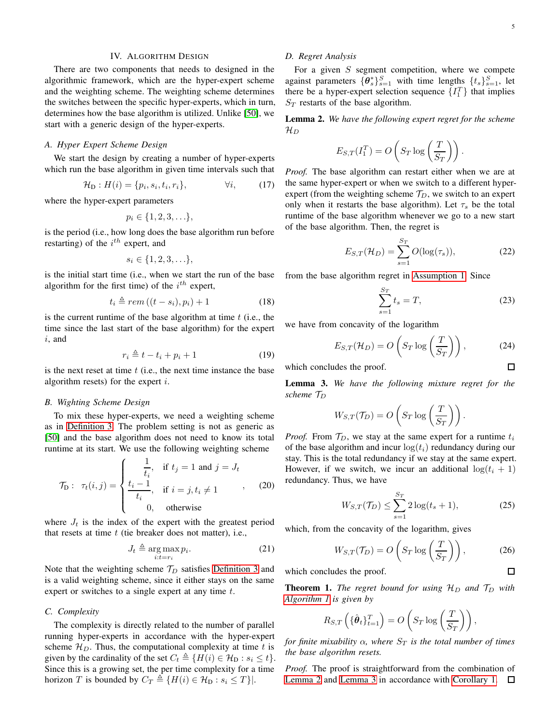# IV. ALGORITHM DESIGN

<span id="page-4-0"></span>There are two components that needs to designed in the algorithmic framework, which are the hyper-expert scheme and the weighting scheme. The weighting scheme determines the switches between the specific hyper-experts, which in turn, determines how the base algorithm is utilized. Unlike [\[50\]](#page-7-40), we start with a generic design of the hyper-experts.

## *A. Hyper Expert Scheme Design*

We start the design by creating a number of hyper-experts which run the base algorithm in given time intervals such that

$$
\mathcal{H}_{\mathcal{D}} : H(i) = \{p_i, s_i, t_i, r_i\}, \qquad \forall i, \qquad (17)
$$

where the hyper-expert parameters

$$
p_i \in \{1,2,3,\ldots\},\
$$

is the period (i.e., how long does the base algorithm run before restarting) of the  $i^{th}$  expert, and

$$
s_i \in \{1,2,3,\ldots\},\
$$

is the initial start time (i.e., when we start the run of the base algorithm for the first time) of the  $i^{th}$  expert,

$$
t_i \triangleq rem((t - s_i), p_i) + 1 \tag{18}
$$

is the current runtime of the base algorithm at time  $t$  (i.e., the time since the last start of the base algorithm) for the expert i, and

$$
r_i \triangleq t - t_i + p_i + 1 \tag{19}
$$

is the next reset at time  $t$  (i.e., the next time instance the base algorithm resets) for the expert  $i$ .

#### *B. Wighting Scheme Design*

To mix these hyper-experts, we need a weighting scheme as in [Definition 3.](#page-3-2) The problem setting is not as generic as [\[50\]](#page-7-40) and the base algorithm does not need to know its total runtime at its start. We use the following weighting scheme

$$
\mathcal{T}_{\mathcal{D}}: \ \tau_t(i,j) = \begin{cases} \frac{1}{t_i}, & \text{if } t_j = 1 \text{ and } j = J_t \\ \frac{t_i - 1}{t_i}, & \text{if } i = j, t_i \neq 1 \\ 0, & \text{otherwise} \end{cases}
$$
 (20)

where  $J_t$  is the index of the expert with the greatest period that resets at time  $t$  (tie breaker does not matter), i.e.,

$$
J_t \triangleq \underset{i:t=r_i}{\arg \max} p_i. \tag{21}
$$

Note that the weighting scheme  $\mathcal{T}_D$  satisfies [Definition 3](#page-3-2) and is a valid weighting scheme, since it either stays on the same expert or switches to a single expert at any time t.

#### *C. Complexity*

The complexity is directly related to the number of parallel running hyper-experts in accordance with the hyper-expert scheme  $\mathcal{H}_D$ . Thus, the computational complexity at time t is given by the cardinality of the set  $C_t \triangleq \{H(i) \in \mathcal{H}_D : s_i \leq t\}.$ Since this is a growing set, the per time complexity for a time horizon T is bounded by  $C_T \triangleq \{H(i) \in \mathcal{H}_D : s_i \leq T\}$ .

# *D. Regret Analysis*

For a given  $S$  segment competition, where we compete against parameters  $\{\theta_s^*\}_{s=1}^S$  with time lengths  $\{t_s\}_{s=1}^S$ , let there be a hyper-expert selection sequence  $\{I_1^T\}$  that implies  $S_T$  restarts of the base algorithm.

<span id="page-4-1"></span>Lemma 2. *We have the following expert regret for the scheme*  $\mathcal{H}_{D}$ 

$$
E_{S,T}(I_1^T) = O\left(S_T \log\left(\frac{T}{S_T}\right)\right).
$$

*Proof.* The base algorithm can restart either when we are at the same hyper-expert or when we switch to a different hyperexpert (from the weighting scheme  $T_D$ , we switch to an expert only when it restarts the base algorithm). Let  $\tau_s$  be the total runtime of the base algorithm whenever we go to a new start of the base algorithm. Then, the regret is

$$
E_{S,T}(\mathcal{H}_D) = \sum_{s=1}^{S_T} O(\log(\tau_s)),\tag{22}
$$

from the base algorithm regret in [Assumption 1.](#page-2-6) Since

$$
\sum_{s=1}^{S_T} t_s = T,\tag{23}
$$

we have from concavity of the logarithm

$$
E_{S,T}(\mathcal{H}_D) = O\left(S_T \log\left(\frac{T}{S_T}\right)\right),\tag{24}
$$
  
des the proof.

which concludes the proof.

<span id="page-4-2"></span>Lemma 3. *We have the following mixture regret for the scheme*  $\mathcal{T}_D$ 

$$
W_{S,T}(\mathcal{T}_D) = O\left(S_T \log\left(\frac{T}{S_T}\right)\right).
$$

*Proof.* From  $\mathcal{T}_D$ , we stay at the same expert for a runtime  $t_i$ of the base algorithm and incur  $log(t_i)$  redundancy during our stay. This is the total redundancy if we stay at the same expert. However, if we switch, we incur an additional  $\log(t_i + 1)$ redundancy. Thus, we have

$$
W_{S,T}(\mathcal{T}_D) \le \sum_{s=1}^{S_T} 2\log(t_s + 1),\tag{25}
$$

which, from the concavity of the logarithm, gives

$$
W_{S,T}(\mathcal{T}_D) = O\left(S_T \log\left(\frac{T}{S_T}\right)\right),\tag{26}
$$

which concludes the proof. **Theorem 1.** *The regret bound for using*  $H_D$  *and*  $T_D$  *with [Algorithm 1](#page-2-3) is given by*

$$
R_{S,T}\left(\{\hat{\boldsymbol{\theta}}_t\}_{t=1}^T\right) = O\left(S_T \log\left(\frac{T}{S_T}\right)\right),\,
$$

*for finite mixability*  $\alpha$ *, where*  $S_T$  *is the total number of times the base algorithm resets.*

*Proof.* The proof is straightforward from the combination of [Lemma 2](#page-4-1) and [Lemma 3](#page-4-2) in accordance with [Corollary 1.](#page-3-3)  $\Box$ 

 $\Box$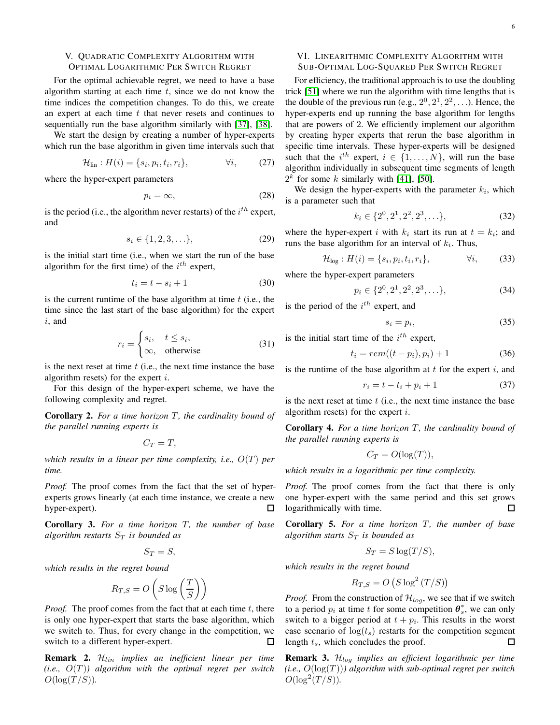# <span id="page-5-0"></span>V. QUADRATIC COMPLEXITY ALGORITHM WITH OPTIMAL LOGARITHMIC PER SWITCH REGRET

For the optimal achievable regret, we need to have a base algorithm starting at each time  $t$ , since we do not know the time indices the competition changes. To do this, we create an expert at each time  $t$  that never resets and continues to sequentially run the base algorithm similarly with [\[37\]](#page-7-28), [\[38\]](#page-7-29).

We start the design by creating a number of hyper-experts which run the base algorithm in given time intervals such that

$$
\mathcal{H}_{\text{lin}}: H(i) = \{s_i, p_i, t_i, r_i\}, \qquad \forall i, \qquad (27)
$$

where the hyper-expert parameters

$$
p_i = \infty,\tag{28}
$$

is the period (i.e., the algorithm never restarts) of the  $i^{th}$  expert, and

$$
s_i \in \{1, 2, 3, \ldots\},\tag{29}
$$

is the initial start time (i.e., when we start the run of the base algorithm for the first time) of the  $i^{th}$  expert,

$$
t_i = t - s_i + 1 \tag{30}
$$

is the current runtime of the base algorithm at time  $t$  (i.e., the time since the last start of the base algorithm) for the expert i, and

$$
r_i = \begin{cases} s_i, & t \le s_i, \\ \infty, & \text{otherwise} \end{cases} \tag{31}
$$

is the next reset at time  $t$  (i.e., the next time instance the base algorithm resets) for the expert  $i$ .

For this design of the hyper-expert scheme, we have the following complexity and regret.

Corollary 2. For a time horizon T, the cardinality bound of *the parallel running experts is*

$$
C_T=T,
$$

*which results in a linear per time complexity, i.e.,*  $O(T)$  *per time.*

*Proof.* The proof comes from the fact that the set of hyperexperts grows linearly (at each time instance, we create a new hyper-expert). П

Corollary 3. For a time horizon T, the number of base *algorithm restarts*  $S_T$  *is bounded as* 

$$
S_T = S,
$$

*which results in the regret bound*

$$
R_{T,S} = O\left(S \log\left(\frac{T}{S}\right)\right)
$$

*Proof.* The proof comes from the fact that at each time  $t$ , there is only one hyper-expert that starts the base algorithm, which we switch to. Thus, for every change in the competition, we switch to a different hyper-expert. 口

Remark 2. Hlin *implies an inefficient linear per time*  $(i.e., O(T))$  algorithm with the optimal regret per switch  $O(\log(T/S)).$ 

# <span id="page-5-1"></span>VI. LINEARITHMIC COMPLEXITY ALGORITHM WITH SUB-OPTIMAL LOG-SQUARED PER SWITCH REGRET

For efficiency, the traditional approach is to use the doubling trick [\[51\]](#page-7-42) where we run the algorithm with time lengths that is the double of the previous run (e.g.,  $2^0$ ,  $2^1$ ,  $2^2$ , ...). Hence, the hyper-experts end up running the base algorithm for lengths that are powers of 2. We efficiently implement our algorithm by creating hyper experts that rerun the base algorithm in specific time intervals. These hyper-experts will be designed such that the  $i^{th}$  expert,  $i \in \{1, ..., N\}$ , will run the base algorithm individually in subsequent time segments of length  $2<sup>k</sup>$  for some k similarly with [\[41\]](#page-7-33), [\[50\]](#page-7-40).

We design the hyper-experts with the parameter  $k_i$ , which is a parameter such that

$$
k_i \in \{2^0, 2^1, 2^2, 2^3, \ldots\},\tag{32}
$$

where the hyper-expert i with  $k_i$  start its run at  $t = k_i$ ; and runs the base algorithm for an interval of  $k_i$ . Thus,

$$
\mathcal{H}_{\text{log}}: H(i) = \{s_i, p_i, t_i, r_i\}, \qquad \forall i,
$$
 (33)

where the hyper-expert parameters

$$
p_i \in \{2^0, 2^1, 2^2, 2^3, \ldots\},\tag{34}
$$

is the period of the  $i^{th}$  expert, and

$$
s_i = p_i,\tag{35}
$$

is the initial start time of the  $i^{th}$  expert,

$$
t_i = rem((t - p_i), p_i) + 1 \tag{36}
$$

is the runtime of the base algorithm at  $t$  for the expert  $i$ , and

$$
r_i = t - t_i + p_i + 1 \tag{37}
$$

is the next reset at time  $t$  (i.e., the next time instance the base algorithm resets) for the expert  $i$ .

Corollary 4. For a time horizon T, the cardinality bound of *the parallel running experts is*

$$
C_T = O(\log(T)),
$$

*which results in a logarithmic per time complexity.*

*Proof.* The proof comes from the fact that there is only one hyper-expert with the same period and this set grows logarithmically with time.  $\Box$ 

Corollary 5. For a time horizon T, the number of base *algorithm starts*  $S_T$  *is bounded as* 

$$
S_T = S \log(T/S),
$$

*which results in the regret bound*

$$
R_{T,S} = O\left(S\log^2\left(T/S\right)\right)
$$

*Proof.* From the construction of  $\mathcal{H}_{log}$ , we see that if we switch to a period  $p_i$  at time t for some competition  $\theta_s^*$ , we can only switch to a bigger period at  $t + p_i$ . This results in the worst case scenario of  $log(t_s)$  restarts for the competition segment length  $t_s$ , which concludes the proof.  $\Box$ 

Remark 3. Hlog *implies an efficient logarithmic per time*  $(i.e., O(log(T)))$  algorithm with sub-optimal regret per switch  $O(\log^2(T/S)).$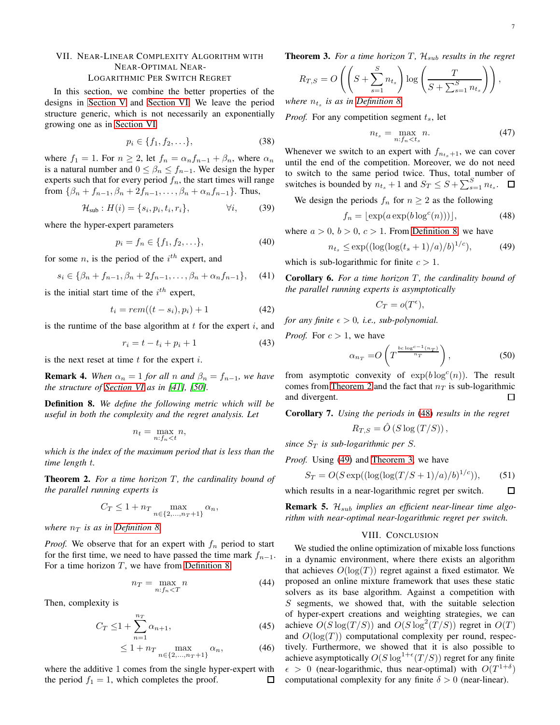# <span id="page-6-0"></span>VII. NEAR-LINEAR COMPLEXITY ALGORITHM WITH NEAR-OPTIMAL NEAR-LOGARITHMIC PER SWITCH REGRET

In this section, we combine the better properties of the designs in [Section V](#page-5-0) and [Section VI.](#page-5-1) We leave the period structure generic, which is not necessarily an exponentially growing one as in [Section VI](#page-5-1)

$$
p_i \in \{f_1, f_2, \ldots\},\tag{38}
$$

where  $f_1 = 1$ . For  $n \geq 2$ , let  $f_n = \alpha_n f_{n-1} + \beta_n$ , where  $\alpha_n$ is a natural number and  $0 \leq \beta_n \leq f_{n-1}$ . We design the hyper experts such that for every period  $f_n$ , the start times will range from  $\{\beta_n + f_{n-1}, \beta_n + 2f_{n-1}, \dots, \beta_n + \alpha_n f_{n-1}\}.$  Thus,

$$
\mathcal{H}_{sub}: H(i) = \{s_i, p_i, t_i, r_i\}, \qquad \forall i,
$$
 (39)

where the hyper-expert parameters

$$
p_i = f_n \in \{f_1, f_2, \ldots\},\tag{40}
$$

for some *n*, is the period of the  $i<sup>th</sup>$  expert, and

$$
s_i \in \{\beta_n + f_{n-1}, \beta_n + 2f_{n-1}, \dots, \beta_n + \alpha_n f_{n-1}\},\tag{41}
$$

is the initial start time of the  $i^{th}$  expert,

$$
t_i = rem((t - s_i), p_i) + 1 \tag{42}
$$

is the runtime of the base algorithm at  $t$  for the expert  $i$ , and

$$
r_i = t - t_i + p_i + 1 \tag{43}
$$

is the next reset at time  $t$  for the expert  $i$ .

**Remark 4.** *When*  $\alpha_n = 1$  *for all n and*  $\beta_n = f_{n-1}$ *, we have the structure of [Section VI](#page-5-1) as in [\[41\]](#page-7-33), [\[50\]](#page-7-40).*

<span id="page-6-2"></span>Definition 8. *We define the following metric which will be useful in both the complexity and the regret analysis. Let*

$$
n_t = \max_{n:f_n < t} n,
$$

*which is the index of the maximum period that is less than the time length* t*.*

<span id="page-6-3"></span>**Theorem 2.** For a time horizon T, the cardinality bound of *the parallel running experts is*

$$
C_T \le 1 + n_T \max_{n \in \{2, \ldots, n_T + 1\}} \alpha_n,
$$

*where*  $n_T$  *is as in [Definition 8.](#page-6-2)* 

*Proof.* We observe that for an expert with  $f_n$  period to start for the first time, we need to have passed the time mark  $f_{n-1}$ . For a time horizon  $T$ , we have from [Definition 8](#page-6-2)

$$
n_T = \max_{n:f_n < T} n \tag{44}
$$

Then, complexity is

$$
C_T \le 1 + \sum_{n=1}^{n_T} \alpha_{n+1},
$$
\n(45)

$$
\leq 1 + n_T \max_{n \in \{2, \dots, n_T + 1\}} \alpha_n,\tag{46}
$$

where the additive 1 comes from the single hyper-expert with the period  $f_1 = 1$ , which completes the proof. ◻ <span id="page-6-6"></span>**Theorem 3.** For a time horizon T,  $\mathcal{H}_{sub}$  results in the regret

$$
R_{T,S} = O\left(\left(S + \sum_{s=1}^{S} n_{t_s}\right) \log\left(\frac{T}{S + \sum_{s=1}^{S} n_{t_s}}\right)\right),\,
$$

*where*  $n_{t_s}$  is as in [Definition 8.](#page-6-2)

*Proof.* For any competition segment  $t_s$ , let

<span id="page-6-4"></span>
$$
n_{t_s} = \max_{n:f_n < t_s} n. \tag{47}
$$

Whenever we switch to an expert with  $f_{n_{t+1}}$ , we can cover until the end of the competition. Moreover, we do not need to switch to the same period twice. Thus, total number of switches is bounded by  $n_{t_s} + 1$  and  $S_T \leq S + \sum_{s=1}^{S} n_{t_s}$ .

We design the periods  $f_n$  for  $n \geq 2$  as the following

$$
f_n = \lfloor \exp(a \exp(b \log^c(n))) \rfloor,
$$
 (48)

where  $a > 0$ ,  $b > 0$ ,  $c > 1$ . From [Definition 8,](#page-6-2) we have

$$
n_{t_s} \le \exp((\log(\log(t_s + 1)/a)/b)^{1/c}), \tag{49}
$$

which is sub-logarithmic for finite  $c > 1$ .

Corollary 6. For a time horizon T, the cardinality bound of *the parallel running experts is asymptotically*

<span id="page-6-5"></span>
$$
C_T = o(T^{\epsilon}),
$$

*for any finite*  $\epsilon > 0$ *, i.e., sub-polynomial.* 

*Proof.* For  $c > 1$ , we have

$$
\alpha_{n_T} = O\left(T^{\frac{bc \log^{c-1}(n_T)}{n_T}}\right),\tag{50}
$$

from asymptotic convexity of  $exp(b \log^c(n))$ . The result comes from [Theorem 2](#page-6-3) and the fact that  $n<sub>T</sub>$  is sub-logarithmic and divergent. П

Corollary 7. *Using the periods in* [\(48\)](#page-6-4) *results in the regret*

$$
R_{T,S} = \hat{O}(S \log(T/S)),
$$

*since*  $S_T$  *is sub-logarithmic per S.* 

*Proof.* Using [\(49\)](#page-6-5) and [Theorem 3,](#page-6-6) we have

$$
S_T = O(S \exp((\log(\log(T/S + 1)/a)/b)^{1/c})),\tag{51}
$$

which results in a near-logarithmic regret per switch.  $\Box$ 

<span id="page-6-1"></span>**Remark 5.**  $\mathcal{H}_{sub}$  *implies an efficient near-linear time algorithm with near-optimal near-logarithmic regret per switch.*

#### VIII. CONCLUSION

We studied the online optimization of mixable loss functions in a dynamic environment, where there exists an algorithm that achieves  $O(log(T))$  regret against a fixed estimator. We proposed an online mixture framework that uses these static solvers as its base algorithm. Against a competition with S segments, we showed that, with the suitable selection of hyper-expert creations and weighting strategies, we can achieve  $O(S \log(T/S))$  and  $O(S \log^2(T/S))$  regret in  $O(T)$ and  $O(log(T))$  computational complexity per round, respectively. Furthermore, we showed that it is also possible to achieve asymptotically  $O(S \log^{1+\epsilon}(T/S))$  regret for any finite  $\epsilon > 0$  (near-logarithmic, thus near-optimal) with  $O(T^{1+\delta})$ computational complexity for any finite  $\delta > 0$  (near-linear).